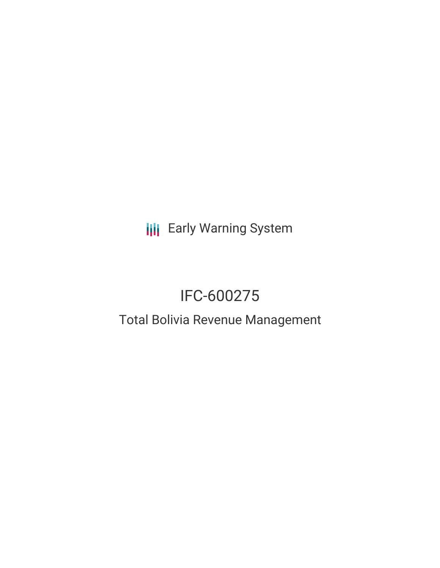**III** Early Warning System

# IFC-600275

## Total Bolivia Revenue Management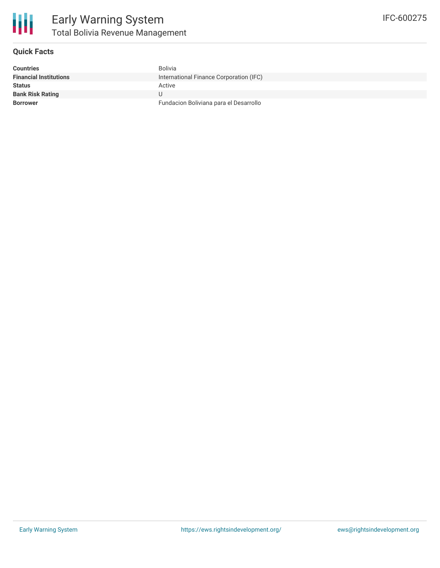

#### **Quick Facts**

| <b>Countries</b>              | <b>Bolivia</b>                          |
|-------------------------------|-----------------------------------------|
| <b>Financial Institutions</b> | International Finance Corporation (IFC) |
| <b>Status</b>                 | Active                                  |
| <b>Bank Risk Rating</b>       |                                         |
| <b>Borrower</b>               | Fundacion Boliviana para el Desarrollo  |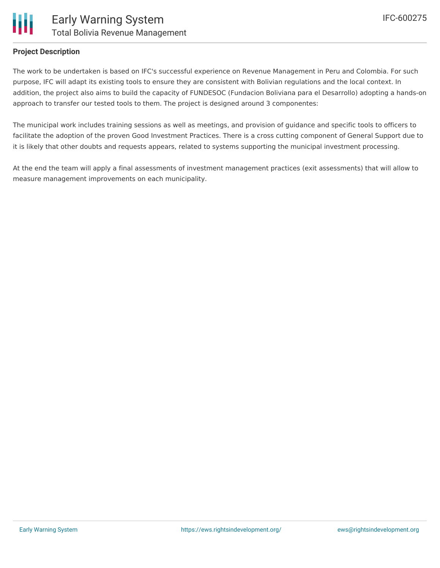

### **Project Description**

The work to be undertaken is based on IFC's successful experience on Revenue Management in Peru and Colombia. For such purpose, IFC will adapt its existing tools to ensure they are consistent with Bolivian regulations and the local context. In addition, the project also aims to build the capacity of FUNDESOC (Fundacion Boliviana para el Desarrollo) adopting a hands-on approach to transfer our tested tools to them. The project is designed around 3 componentes:

The municipal work includes training sessions as well as meetings, and provision of guidance and specific tools to officers to facilitate the adoption of the proven Good Investment Practices. There is a cross cutting component of General Support due to it is likely that other doubts and requests appears, related to systems supporting the municipal investment processing.

At the end the team will apply a final assessments of investment management practices (exit assessments) that will allow to measure management improvements on each municipality.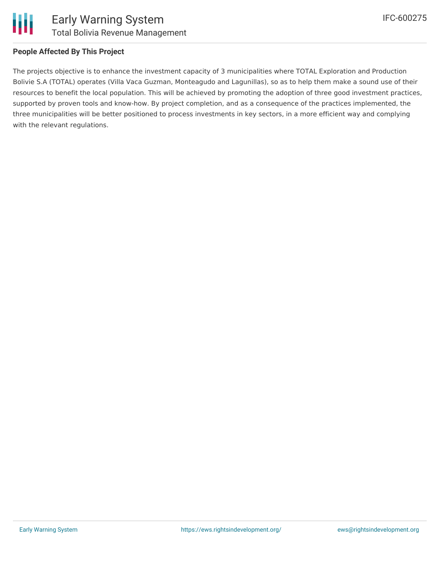

The projects objective is to enhance the investment capacity of 3 municipalities where TOTAL Exploration and Production Bolivie S.A (TOTAL) operates (Villa Vaca Guzman, Monteagudo and Lagunillas), so as to help them make a sound use of their resources to benefit the local population. This will be achieved by promoting the adoption of three good investment practices, supported by proven tools and know-how. By project completion, and as a consequence of the practices implemented, the three municipalities will be better positioned to process investments in key sectors, in a more efficient way and complying with the relevant regulations.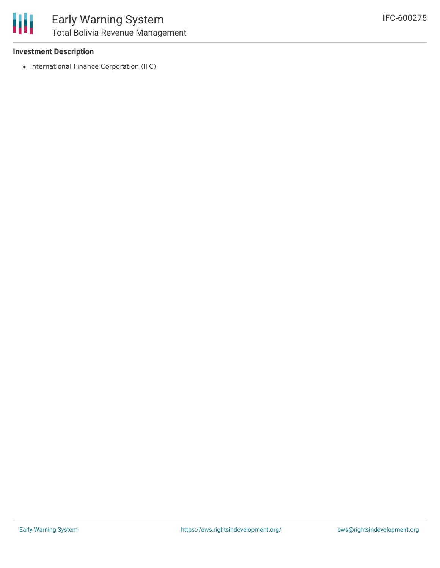

#### **Investment Description**

• International Finance Corporation (IFC)